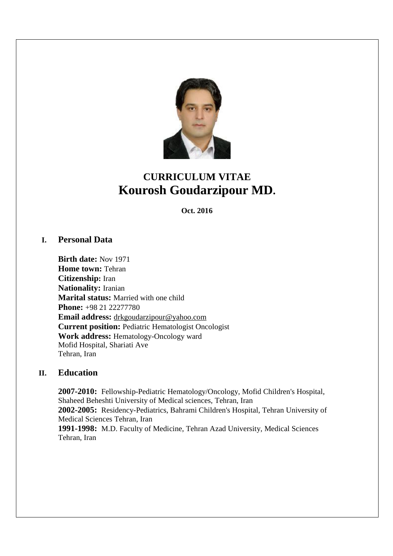

# **CURRICULUM VITAE Kourosh Goudarzipour MD.**

**Oct. 2016** 

# **I. Personal Data**

**Birth date:** Nov 1971 **Home town:** Tehran **Citizenship:** Iran **Nationality:** Iranian **Marital status:** Married with one child **Phone:** +98 21 22277780 **Email address:** [drkgoudarzipour@yahoo.com](mailto:drkgoudarzipour@yahoo.com) **Current position:** Pediatric Hematologist Oncologist **Work address:** Hematology-Oncology ward Mofid Hospital, Shariati Ave Tehran, Iran

# **II. Education**

**2007-2010:** Fellowship-Pediatric Hematology/Oncology, Mofid Children's Hospital, Shaheed Beheshti University of Medical sciences, Tehran, Iran **2002-2005:** Residency-Pediatrics, Bahrami Children's Hospital, Tehran University of Medical Sciences Tehran, Iran **1991-1998:** M.D. Faculty of Medicine, Tehran Azad University, Medical Sciences

Tehran, Iran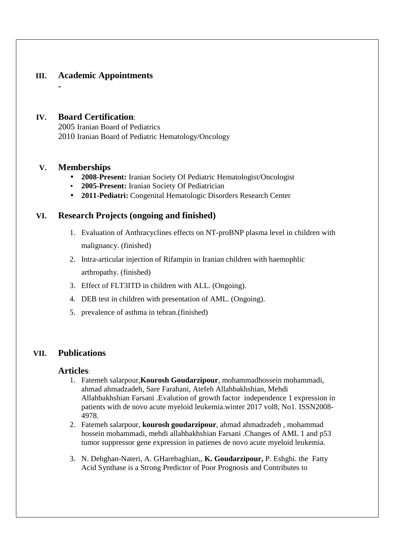# **III. Academic Appointments**

#### **IV. Board Certification**:

2005 Iranian Board of Pediatrics 2010 Iranian Board of Pediatric Hematology/Oncology

#### **V. Memberships**

**-** 

- **2008-Present:** Iranian Society Of Pediatric Hematologist/Oncologist
- **2005-Present:** Iranian Society Of Pediatrician
- **2011-Pediatri:** Congenital Hematologic Disorders Research Center

### **VI. Research Projects (ongoing and finished)**

- 1. Evaluation of Anthracyclines effects on NT-proBNP plasma level in children with malignancy. (finished)
- 2. Intra-articular injection of Rifampin in Iranian children with haemophlic arthropathy. (finished)
- 3. Effect of FLT3ITD in children with ALL. (Ongoing).
- 4. DEB test in children with presentation of AML. (Ongoing).
- 5. prevalence of asthma in tehran.(finished)

# **VII. Publications**

#### **Articles**:

- 1. Fatemeh salarpour,**Kourosh Goudarzipour**, mohammadhossein mohammadi, ahmad ahmadzadeh, Sare Farahani, Atefeh Allahbakhshian, Mehdi Allahbakhshian Farsani .Evalution of growth factor independence 1 expression in patients with de novo acute myeloid leukemia.winter 2017 vol8, No1. ISSN2008- 4978.
- 2. Fatemeh salarpour, **kourosh goudarzipour**, ahmad ahmadzadeh , mohammad hossein mohammadi, mehdi allahbakhshian Farsani .Changes of AML 1 and p53 tumor suppressor gene expression in patienes de novo acute myeloid leukemia.
- 3. N. Dehghan-Nateri, A. GHarebaghian,, **K. Goudarzipour,** P. Eshghi. the Fatty Acid Synthase is a Strong Predictor of Poor Prognosis and Contributes to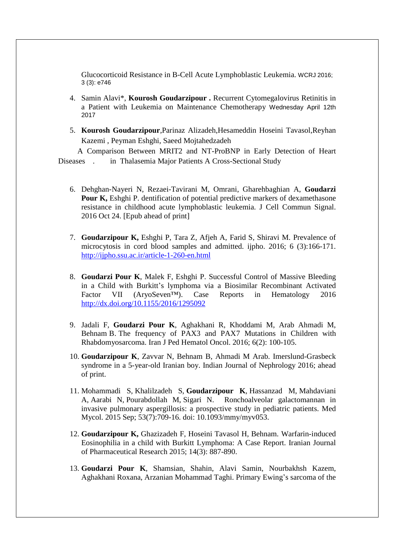Glucocorticoid Resistance in B-Cell Acute Lymphoblastic Leukemia. WCRJ 2016; 3 (3): e746

- 4. Samin Alavi\*, **Kourosh Goudarzipour .** Recurrent Cytomegalovirus Retinitis in a Patient with Leukemia on Maintenance Chemotherapy Wednesday April 12th 2017
- 5. **Kourosh Goudarzipour**,Parinaz Alizadeh,Hesameddin Hoseini Tavasol,Reyhan Kazemi , Peyman Eshghi, Saeed Mojtahedzadeh

 A Comparison Between MRIT2 and NT-ProBNP in Early Detection of Heart Diseases . in Thalasemia Major Patients A Cross-Sectional Study

- 6. Dehghan-Nayeri N, Rezaei-Tavirani M, Omrani, Gharehbaghian A, **Goudarzi Pour K,** Eshghi P. dentification of potential predictive markers of dexamethasone resistance in childhood acute lymphoblastic leukemia. J Cell Commun Signal. 2016 Oct 24. [Epub ahead of print]
- 7. **Goudarzipour K,** Eshghi P, Tara Z, Afjeh A, Farid S, Shiravi M. Prevalence of microcytosis in cord blood samples and admitted. ijpho. 2016; 6 (3):166-171. <http://ijpho.ssu.ac.ir/article-1-260-en.html>
- 8. **Goudarzi Pour K**, Malek F, Eshghi P. Successful Control of Massive Bleeding in a Child with Burkitt's lymphoma via a Biosimilar Recombinant Activated Factor VII (AryoSeven™). Case Reports in Hematology 2016 <http://dx.doi.org/10.1155/2016/1295092>
- 9. Jadali F, **Goudarzi Pour K**, Aghakhani R, Khoddami M, Arab Ahmadi M, Behnam B. The frequency of PAX3 and PAX7 Mutations in Children with Rhabdomyosarcoma. Iran J Ped Hematol Oncol. 2016; 6(2): 100-105.
- 10. **Goudarzipour K**, Zavvar N, Behnam B, Ahmadi M Arab. Imerslund-Grasbeck syndrome in a 5-year-old Iranian boy. Indian Journal of Nephrology 2016; ahead of print.
- 11. Mohammadi S, Khalilzadeh S, **Goudarzipour K**, Hassanzad M, Mahdaviani A, Aarabi N, Pourabdollah M, Sigari N. Ronchoalveolar galactomannan in invasive pulmonary aspergillosis: a prospective study in pediatric patients. Med Mycol. 2015 Sep; 53(7):709-16. doi: 10.1093/mmy/myv053.
- 12. **Goudarzipour K,** Ghazizadeh F, Hoseini Tavasol H, Behnam. Warfarin-induced Eosinophilia in a child with Burkitt Lymphoma: A Case Report. Iranian Journal of Pharmaceutical Research 2015; 14(3): 887-890.
- 13. **Goudarzi Pour K**, Shamsian, Shahin, Alavi Samin, Nourbakhsh Kazem, Aghakhani Roxana, Arzanian Mohammad Taghi. Primary Ewing's sarcoma of the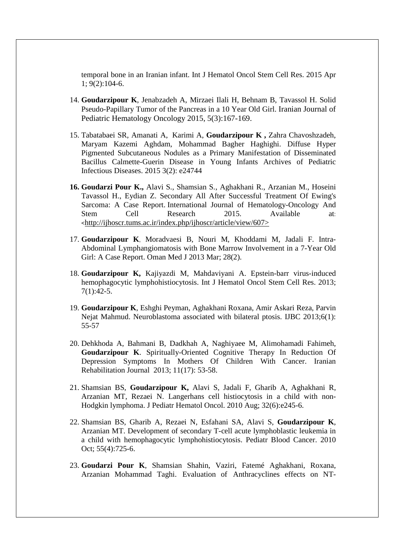temporal bone in an Iranian infant. Int J Hematol Oncol Stem Cell Res. 2015 Apr 1; 9(2):104-6.

- 14. **Goudarzipour K**, Jenabzadeh A, Mirzaei Ilali H, Behnam B, Tavassol H. Solid Pseudo-Papillary Tumor of the Pancreas in a 10 Year Old Girl. Iranian Journal of Pediatric Hematology Oncology 2015, 5(3):167-169.
- 15. Tabatabaei SR, Amanati A, Karimi A, **Goudarzipour K ,** Zahra Chavoshzadeh, Maryam Kazemi Aghdam, Mohammad Bagher Haghighi. Diffuse Hyper Pigmented Subcutaneous Nodules as a Primary Manifestation of Disseminated Bacillus Calmette-Guerin Disease in Young Infants Archives of Pediatric Infectious Diseases. 2015 3(2): e24744
- **16. Goudarzi Pour K.,** Alavi S., Shamsian S., Aghakhani R., Arzanian M., Hoseini Tavassol H., Eydian Z. Secondary All After Successful Treatment Of Ewing's Sarcoma: A Case Report. International Journal of Hematology-Oncology And Stem Cell Research 2015. Available at: <<http://ijhoscr.tums.ac.ir/index.php/ijhoscr/article/view/607>>
- 17. **Goudarzipour K**, Moradvaesi B, Nouri M, Khoddami M, Jadali F. Intra-Abdominal Lymphangiomatosis with Bone Marrow Involvement in a 7-Year Old Girl: A Case Report. Oman Med J 2013 Mar; 28(2).
- 18. **Goudarzipour K,** Kajiyazdi M, Mahdaviyani A. Epstein-barr virus-induced hemophagocytic lymphohistiocytosis. Int J Hematol Oncol Stem Cell Res. 2013; 7(1):42-5.
- 19. **Goudarzipour K**, Eshghi Peyman, Aghakhani Roxana, Amir Askari Reza, Parvin Nejat Mahmud. Neuroblastoma associated with bilateral ptosis. IJBC 2013;6(1): 55-57
- 20. Dehkhoda A, Bahmani B, Dadkhah A, Naghiyaee M, Alimohamadi Fahimeh, **Goudarzipour K**. Spiritually-Oriented Cognitive Therapy In Reduction Of Depression Symptoms In Mothers Of Children With Cancer. Iranian Rehabilitation Journal 2013; 11(17): 53-58.
- 21. Shamsian BS, **Goudarzipour K,** Alavi S, Jadali F, Gharib A, Aghakhani R, Arzanian MT, Rezaei N. Langerhans cell histiocytosis in a child with non-Hodgkin lymphoma. J Pediatr Hematol Oncol. 2010 Aug; 32(6):e245-6.
- 22. Shamsian BS, Gharib A, Rezaei N, Esfahani SA, Alavi S, **Goudarzipour K**, Arzanian MT. Development of secondary T-cell acute lymphoblastic leukemia in a child with hemophagocytic lymphohistiocytosis. Pediatr Blood Cancer. 2010 Oct; 55(4):725-6.
- 23. **Goudarzi Pour K**, Shamsian Shahin, Vaziri, Fatemé Aghakhani, Roxana, Arzanian Mohammad Taghi. Evaluation of Anthracyclines effects on NT-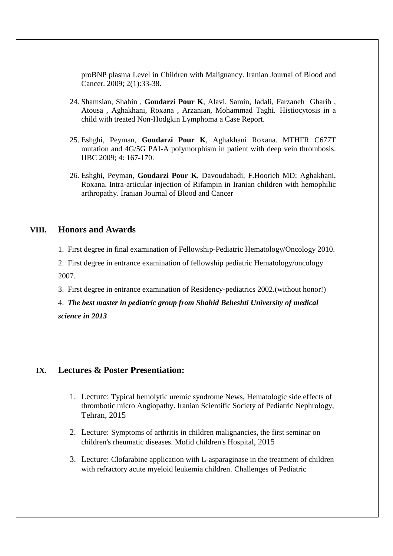proBNP plasma Level in Children with Malignancy. Iranian Journal of Blood and Cancer. 2009; 2(1):33-38.

- 24. Shamsian, Shahin , **Goudarzi Pour K**, Alavi, Samin, Jadali, Farzaneh Gharib , Atousa , Aghakhani, Roxana , Arzanian, Mohammad Taghi. Histiocytosis in a child with treated Non-Hodgkin Lymphoma a Case Report.
- 25. Eshghi, Peyman, **Goudarzi Pour K**, Aghakhani Roxana. MTHFR C677T mutation and 4G/5G PAI-A polymorphism in patient with deep vein thrombosis. IJBC 2009; 4: 167-170.
- 26. Eshghi, Peyman, **Goudarzi Pour K**, Davoudabadi, F.Hoorieh MD; Aghakhani, Roxana. Intra-articular injection of Rifampin in Iranian children with hemophilic arthropathy. Iranian Journal of Blood and Cancer

### **VIII. Honors and Awards**

- 1. First degree in final examination of Fellowship-Pediatric Hematology/Oncology 2010.
- 2. First degree in entrance examination of fellowship pediatric Hematology/oncology 2007.
- 3. First degree in entrance examination of Residency-pediatrics 2002.(without honor!)
- 4. *The best master in pediatric group from Shahid Beheshti University of medical science in 2013*

#### **IX. Lectures & Poster Presentiation:**

- 1. Lecture: Typical hemolytic uremic syndrome News, Hematologic side effects of thrombotic micro Angiopathy. Iranian Scientific Society of Pediatric Nephrology, Tehran, 2015
- 2. Lecture: Symptoms of arthritis in children malignancies, the first seminar on children's rheumatic diseases. Mofid children's Hospital, 2015
- 3. Lecture: Clofarabine application with L-asparaginase in the treatment of children with refractory acute myeloid leukemia children. Challenges of Pediatric